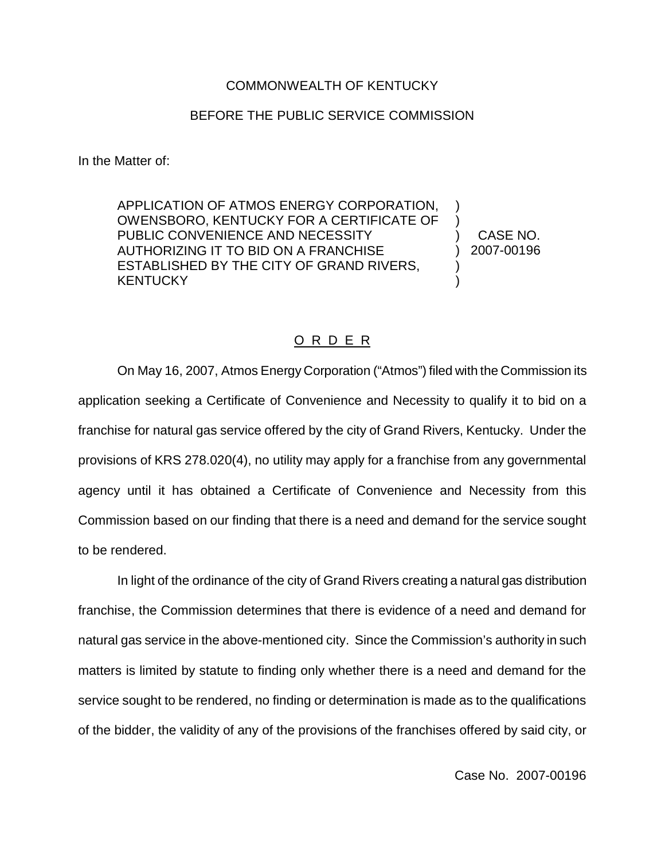## COMMONWEALTH OF KENTUCKY

## BEFORE THE PUBLIC SERVICE COMMISSION

In the Matter of:

APPLICATION OF ATMOS ENERGY CORPORATION, OWENSBORO, KENTUCKY FOR A CERTIFICATE OF PUBLIC CONVENIENCE AND NECESSITY AUTHORIZING IT TO BID ON A FRANCHISE ESTABLISHED BY THE CITY OF GRAND RIVERS, **KENTUCKY** )  $\lambda$ ) )

) CASE NO. ) 2007-00196

## O R D E R

On May 16, 2007, Atmos Energy Corporation ("Atmos") filed with the Commission its application seeking a Certificate of Convenience and Necessity to qualify it to bid on a franchise for natural gas service offered by the city of Grand Rivers, Kentucky. Under the provisions of KRS 278.020(4), no utility may apply for a franchise from any governmental agency until it has obtained a Certificate of Convenience and Necessity from this Commission based on our finding that there is a need and demand for the service sought to be rendered.

In light of the ordinance of the city of Grand Rivers creating a natural gas distribution franchise, the Commission determines that there is evidence of a need and demand for natural gas service in the above-mentioned city. Since the Commission's authority in such matters is limited by statute to finding only whether there is a need and demand for the service sought to be rendered, no finding or determination is made as to the qualifications of the bidder, the validity of any of the provisions of the franchises offered by said city, or